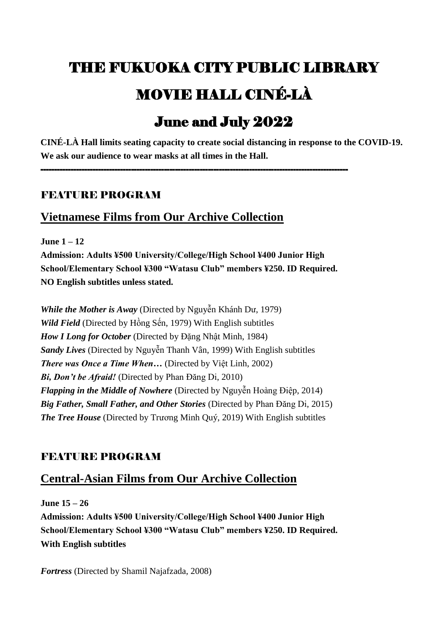# THE FUKUOKA CITY PUBLIC LIBRARY MOVIE HALL CINÉ-LÀ

## June and July 2022

**CINÉ-LÀ Hall limits seating capacity to create social distancing in response to the COVID-19. We ask our audience to wear masks at all times in the Hall.**

#### FEATURE PROGRAM

## **Vietnamese Films from Our Archive Collection**

**June 1 – 12**

**Admission: Adults ¥500 University/College/High School ¥400 Junior High School/Elementary School ¥300 "Watasu Club" members ¥250. ID Required. NO English subtitles unless stated.**

----------------------------------------------------------------------------------------------------------------

*While the Mother is Away* (Directed by Nguyễn Khánh Dư, 1979) *Wild Field* (Directed by Hồng Sến, 1979) With English subtitles *How I Long for October* (Directed by Đặng Nhật Minh, 1984) *Sandy Lives* (Directed by Nguyễn Thanh Vân, 1999) With English subtitles *There was Once a Time When…* (Directed by Việt Linh, 2002) *Bi, Don't be Afraid!* (Directed by Phan Đăng Di, 2010) *Flapping in the Middle of Nowhere* (Directed by Nguyễn Hoàng Điệp, 2014) *Big Father, Small Father, and Other Stories* (Directed by Phan Đăng Di, 2015) *The Tree House* (Directed by Trương Minh Quý, 2019) With English subtitles

## FEATURE PROGRAM

## **Central-Asian Films from Our Archive Collection**

**June 15 – 26**

**Admission: Adults ¥500 University/College/High School ¥400 Junior High School/Elementary School ¥300 "Watasu Club" members ¥250. ID Required. With English subtitles**

*Fortress* (Directed by Shamil Najafzada, 2008)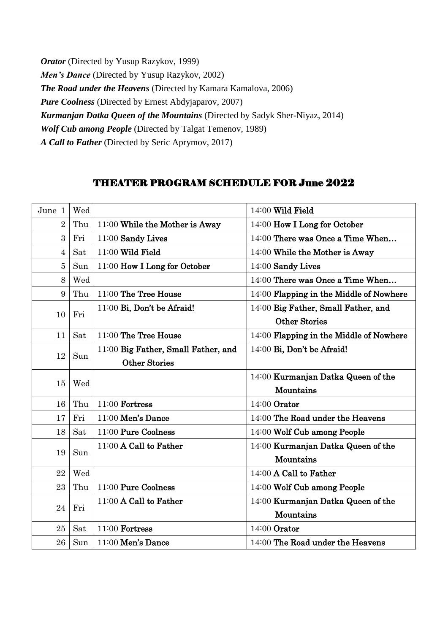*Orator* (Directed by Yusup Razykov, 1999) *Men's Dance* (Directed by Yusup Razykov, 2002) *The Road under the Heavens* (Directed by Kamara Kamalova, 2006) *Pure Coolness* (Directed by Ernest Abdyjaparov, 2007) *Kurmanjan Datka Queen of the Mountains* (Directed by Sadyk Sher-Niyaz, 2014) *Wolf Cub among People* (Directed by Talgat Temenov, 1989) *A Call to Father* (Directed by Seric Aprymov, 2017)

#### THEATER PROGRAM SCHEDULE FOR June 2022

| June 1         | Wed |                                     | 14:00 Wild Field                        |
|----------------|-----|-------------------------------------|-----------------------------------------|
| $\overline{2}$ | Thu | 11:00 While the Mother is Away      | 14:00 How I Long for October            |
| 3              | Fri | 11:00 Sandy Lives                   | 14:00 There was Once a Time When        |
| $\overline{4}$ | Sat | 11:00 Wild Field                    | 14:00 While the Mother is Away          |
| $\overline{5}$ | Sun | 11:00 How I Long for October        | 14:00 Sandy Lives                       |
| 8              | Wed |                                     | 14:00 There was Once a Time When        |
| 9              | Thu | 11:00 The Tree House                | 14:00 Flapping in the Middle of Nowhere |
| 10             | Fri | 11:00 Bi, Don't be Afraid!          | 14:00 Big Father, Small Father, and     |
|                |     |                                     | <b>Other Stories</b>                    |
| 11             | Sat | 11:00 The Tree House                | 14:00 Flapping in the Middle of Nowhere |
|                | Sun | 11:00 Big Father, Small Father, and | 14:00 Bi, Don't be Afraid!              |
| 12             |     | <b>Other Stories</b>                |                                         |
|                | Wed |                                     | 14:00 Kurmanjan Datka Queen of the      |
| 15             |     |                                     | Mountains                               |
| 16             | Thu | 11:00 Fortress                      | 14:00 Orator                            |
| 17             | Fri | 11:00 Men's Dance                   | 14:00 The Road under the Heavens        |
| 18             | Sat | 11:00 Pure Coolness                 | 14:00 Wolf Cub among People             |
| 19             | Sun | 11:00 A Call to Father              | 14:00 Kurmanjan Datka Queen of the      |
|                |     |                                     | Mountains                               |
| 22             | Wed |                                     | 14:00 A Call to Father                  |
| 23             | Thu | 11:00 Pure Coolness                 | 14:00 Wolf Cub among People             |
| 24             | Fri | 11:00 A Call to Father              | 14:00 Kurmanjan Datka Queen of the      |
|                |     |                                     | Mountains                               |
| 25             | Sat | 11:00 Fortress                      | 14:00 Orator                            |
| 26             | Sun | 11:00 Men's Dance                   | 14:00 The Road under the Heavens        |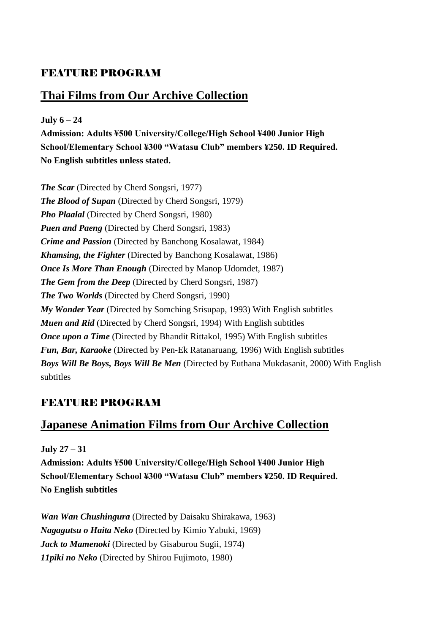## FEATURE PROGRAM

## **Thai Films from Our Archive Collection**

**July 6 – 24 Admission: Adults ¥500 University/College/High School ¥400 Junior High School/Elementary School ¥300 "Watasu Club" members ¥250. ID Required. No English subtitles unless stated.**

*The Scar* (Directed by Cherd Songsri, 1977) *The Blood of Supan* (Directed by Cherd Songsri, 1979) *Pho Plaalal* (Directed by Cherd Songsri, 1980) *Puen and Paeng* (Directed by Cherd Songsri, 1983) *Crime and Passion* (Directed by Banchong Kosalawat, 1984) *Khamsing, the Fighter* (Directed by Banchong Kosalawat, 1986) *Once Is More Than Enough* (Directed by Manop Udomdet, 1987) *The Gem from the Deep* (Directed by Cherd Songsri, 1987) *The Two Worlds* (Directed by Cherd Songsri, 1990) *My Wonder Year* (Directed by Somching Srisupap, 1993) With English subtitles *Muen and Rid* (Directed by Cherd Songsri, 1994) With English subtitles *Once upon a Time* (Directed by Bhandit Rittakol, 1995) With English subtitles *Fun, Bar, Karaoke* (Directed by Pen-Ek Ratanaruang, 1996) With English subtitles *Boys Will Be Boys, Boys Will Be Men* (Directed by Euthana Mukdasanit, 2000) With English subtitles

## FEATURE PROGRAM

## **Japanese Animation Films from Our Archive Collection**

**July 27 – 31**

**Admission: Adults ¥500 University/College/High School ¥400 Junior High School/Elementary School ¥300 "Watasu Club" members ¥250. ID Required. No English subtitles**

*Wan Wan Chushingura* (Directed by Daisaku Shirakawa, 1963) *Nagagutsu o Haita Neko* (Directed by Kimio Yabuki, 1969) *Jack to Mamenoki* (Directed by Gisaburou Sugii, 1974) *11piki no Neko* (Directed by Shirou Fujimoto, 1980)